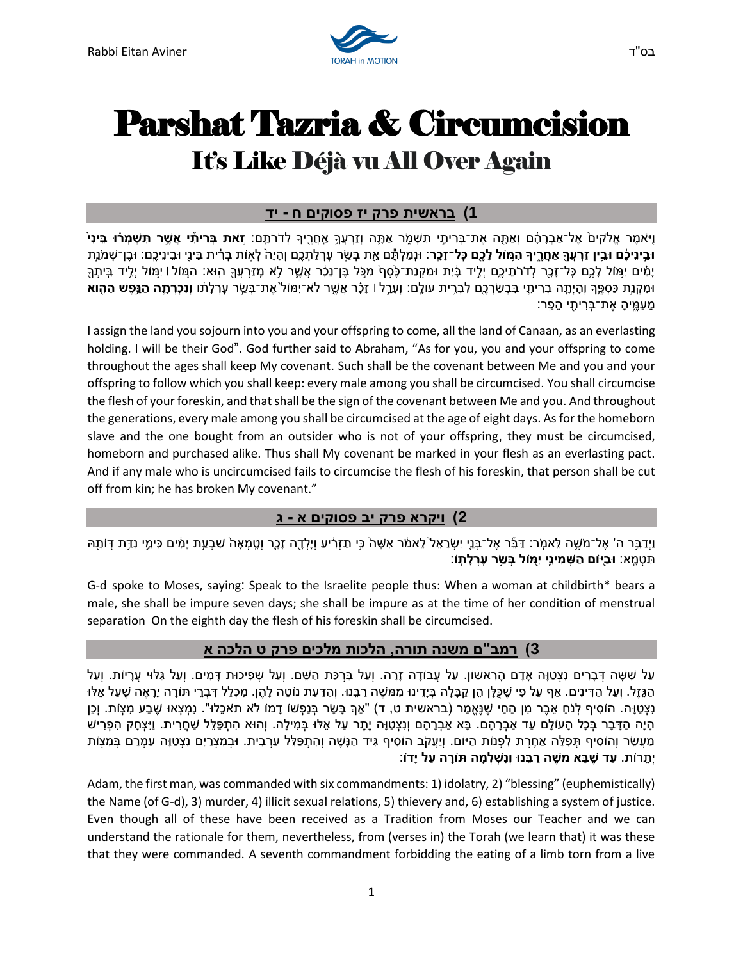

# Parshat Tazria & Circumcision It's Like Déjà vu All Over Again

### **1( בראשית פרק י ז פסוקים ח - יד**

**ֿוַי**ֹאמֶר אֱלֹקיםֹ אֶל־אַבְרָהָם וְאַתָּה אֶת־בִּרִיתָי תִשְׁמֶר אַתֶּה וְזַרְעַךְ אֶחֲרֶךְ ק'דֹרֹתֶם: **זאת בְּרִיתִּי אֲשֶׁר תִּשְׁמְּרֹוּ בֵּינִ**י וּבֵינִיכָם וּבֵין זַרַעַךְּ אַחֲרֶיךָ הַמּוֹל לָכֵם כַּל־זָכָר: וּנמִלֹתֶּם אֶת בַּשֶׂר עַרלַתְכַם וְהָיָה לְאוֹת בַּרֹיִת בֵּינֵי וּבַיְנֵיכֶם: וּבַן־שַׁמְנַת יָמִים יִמִּוֹל לְכֵם כַּל־זָכָר לְדרֹתֵיכֶם יְלִיד בָּיתִךְ מִמְקָנַת־כֶּסֵף מִכָּל בֵו־נַכֶּר אֲשֵׁר לְא מַזַרְעַךָּ הוּא: הִמִּוֹל ו יַמִּוֹל יִלְיד בֵיתִךְ ּוּמִקְנַת כַּסְפֵּר וְהָיָתָה בְרִיתָי בִּבְשֹׂרְכֶם לִבְרֵית עוֹלֶם: וְעָרֶל וּ זָכָ֫ר אֲשֶׁר לְא־יִמוֹל אֶת־בְשֶׂר עָרְלָתוֹ **וְנִכְרְתֶה הַגֲפָשׁ הַהָוא** ְמֶעֲמֵיהָ אֶת־בָּרִיתִי הֵפֵר:

I assign the land you sojourn into you and your offspring to come, all the land of Canaan, as an everlasting holding. I will be their God". God further said to Abraham, "As for you, you and your offspring to come throughout the ages shall keep My covenant. Such shall be the covenant between Me and you and your offspring to follow which you shall keep: every male among you shall be circumcised. You shall circumcise the flesh of your foreskin, and that shall be the sign of the covenant between Me and you . And throughout the generations, every male among you shall be circumcised at the age of eight days. As for the homeborn slave and the one bought from an outsider who is not of your offspring, they must be circumcised, homeborn and purchased alike. Thus shall My covenant be marked in your flesh as an everlasting pact. And if any male who is uncircumcised fails to circumcise the flesh of his foreskin, that person shall be cut off from kin; he has broken My covenant."

# **2( ויקרא פרק י ב פסוקים א - ג**

וַיִדַבֵּר ה' אֶל־משֶׁה לֵאמִר: דַּבֶּר אֶל־בָּנֵי יִשְׂרָאֵל לֵאמֹר אִשָּׁה כֵּי תַזְרִיע וְיָלְדָה זָכֶר וְטֵמְאָה שִׁבְעַת יָמִים כִּימֵי נַדֵּת דְּוֹתָה תִּטְמֶא: **וּבַיִּוֹם הַשָּׁמִינֵי יִמְּוֹל בְּשֵׂר עָרִלְתָ**ּוֹ:

G-d spoke to Moses, saying: Speak to the Israelite people thus: When a woman at childbirth\* bears a male, she shall be impure seven days; she shall be impure as at the time of her condition of menstrual separation On the eighth day the flesh of his foreskin shall be circumcised .

# **3( רמב"ם משנה תורה, הלכות מלכים פרק ט הלכה א**

ּעַל שִׁשָּׁה דִּבְרִים נִצְטַוָּה אָדָם הַרְאשׁוֹן. עַל עַבוֹדָה זָרָה. וְעַל בִּרְכַּת הַשֶּׁם. וְעַל שִפִּיכוּת דַּמִים. וְעַל גִּלּוּי עַרָיוֹת. וְעַל הַגְּזֶל. וְעַל הַדִּינִים. אַף עַל פִּי שֶׁכַּלָּן הֶן קָבָּלָה בָּיֵדֶינוּ מִמּשֶׁה רַבְּנוּ. וְהַדַּעַת נוֹטָה לָהֶן. מִכְּלָל דְּבְרֵי תּוֹרָה יֶרָאֶה שֶׁעַל אָלּוּ ַנְצְטַוָּה. הוֹסִיף לְנֹחַ אֶבֶר מִן הַחַי שֶׁנֵּאֲמַר (בראשית ט, ד) "אַךְ בָּשֶׂר בְּנַפְשׁוֹ דָמוֹ לֹא תֹאכֶלוּ". נְמִצְאוּ שֶׁבַע מִצְוֹת. וְכֵן ָהָיָה הַדָּבָר בְּכָל הָעוֹלָם עַד אַבְרָהָם. בָּא אַבְרָהָם וְנִצְטַוָּה יֶתֶר עַל אֵלּוּ בְּמִילָה. וְהוּא הִתְפַּלֶל שַׁחֲרִית. וַיִּצְחָק הִפְרִישׁ ַמַעֲשֶׂר וְהוֹסִיף תִּפְלָּה אַחֶרֶת לִפְנוֹת הַיּוֹם. וְיַעֲקֹב הוֹסִיף גִּיד הַנֶּשֶׁה וְהִתְפָלֶל עַרְבִית. וּבְמִצְרַיִם נִצְטַוָּה עַמְרָם בְּמִצְוֹת יְת רֹות. **עַ ד ש בָ א מש ה רַ בֵּ נּו וְּנִשְּ לְּ מָ ה תֹורָ ה עַ ל יָ דֹו** :

Adam, the first man, was commanded with six commandments: 1) idolatry, 2) "blessing" (euphemistically) the Name (of G-d), 3) murder, 4) illicit sexual relations, 5) thievery and, 6) establishing a system of justice. Even though all of these have been received as a Tradition from Moses our Teacher and we can understand the rationale for them, nevertheless, from (verses in) the Torah (we learn that) it was these that they were commanded. A seventh commandment forbidding the eating of a limb torn from a live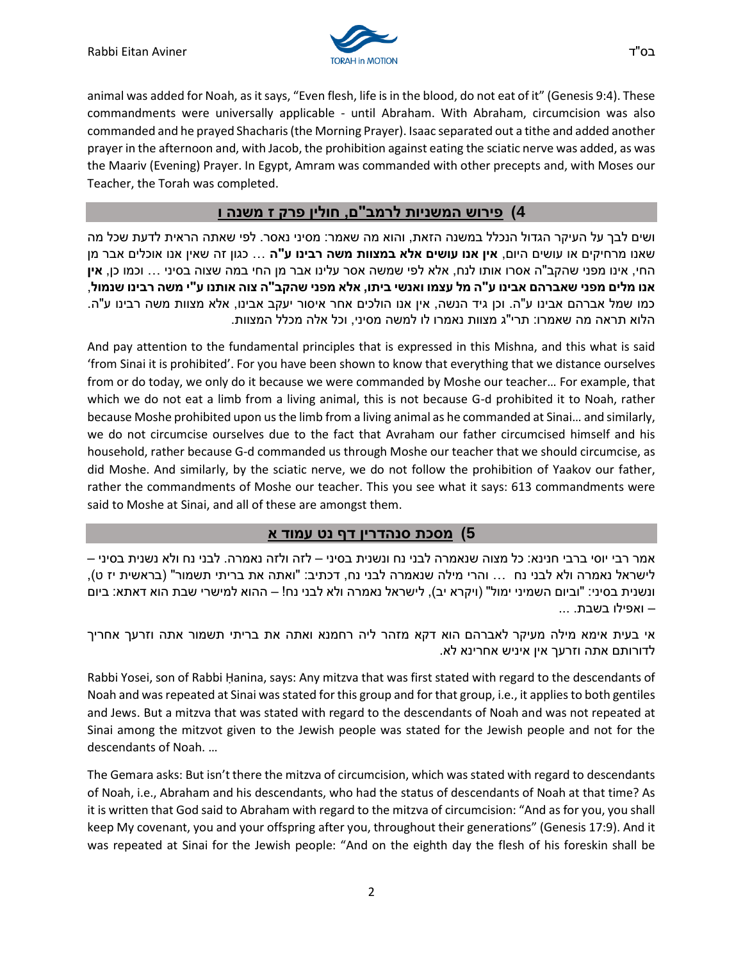

animal was added for Noah, as it says, "Even flesh, life is in the blood, do not eat of it" (Genesis 9:4). These commandments were universally applicable - until Abraham. With Abraham, circumcision was also commanded and he prayed Shacharis (the Morning Prayer). Isaac separated out a tithe and added another prayer in the afternoon and, with Jacob, the prohibition against eating the sciatic nerve was added, as was the Maariv (Evening) Prayer. In Egypt, Amram was commanded with other precepts and, with Moses our Teacher, the Torah was completed.

#### **4( פירוש המשניות לרמב"ם, חולין פרק ז משנה ו**

ושים לבך על העיקר הגדול הנכלל במשנה הזאת, והוא מה שאמר: מסיני נאסר. לפי שאתה הראית לדעת שכל מה שאנו מרחיקים או עושים היום, **אין אנו עושים אלא במצוות משה רבינו ע"ה** ... כגון זה שאין אנו אוכלים אבר מן החי, אינו מפני שהקב"ה אסרו אותו לנח, אלא לפי שמשה אסר עלינו אבר מן החי במה שצוה בסיני ... וכמו כן, **אין אנו מלים מפני שאברהם אבינו ע"ה מל עצמו ואנשי ביתו, אלא מפני שהקב"ה צוה אותנו ע"י משה רבינו שנמול** , כמו שמל אברהם אבינו ע"ה. וכן גיד הנשה, אין אנו הולכים אחר איסור יעקב אבינו, אלא מצוות משה רבינו ע"ה. הלוא תראה מה שאמרו: תרי"ג מצוות נאמרו לו למשה מסיני, וכל אלה מכלל המצוות.

And pay attention to the fundamental principles that is expressed in this Mishna, and this what is said 'from Sinai it is prohibited'. For you have been shown to know that everything that we distance ourselves from or do today, we only do it because we were commanded by Moshe our teacher… For example, that which we do not eat a limb from a living animal, this is not because G-d prohibited it to Noah, rather because Moshe prohibited upon us the limb from a living animal as he commanded at Sinai… and similarly, we do not circumcise ourselves due to the fact that Avraham our father circumcised himself and his household, rather because G-d commanded us through Moshe our teacher that we should circumcise, as did Moshe. And similarly, by the sciatic nerve, we do not follow the prohibition of Yaakov our father, rather the commandments of Moshe our teacher. This you see what it says: 613 commandments were said to Moshe at Sinai, and all of these are amongst them.

#### **5( מסכת סנהדרין דף נט עמוד א**

אמר רבי יוסי ברבי חנינא: כל מצוה שנאמרה לבני נח ונשנית בסיני – לזה ולזה נאמרה. לבני נח ולא נשנית בסיני – לישראל נאמרה ולא לבני נח  $\;\ldots\;$  והרי מילה שנאמרה לבני נח, דכתיב: "ואתה את בריתי תשמור" (בראשית יז ט), ונשנית בסיני: "וביום השמיני ימול" (ויקרא יב), לישראל נאמרה ולא לבני נח! – ההוא למישרי שבת הוא דאתא: ביום – ואפילו בשבת. ...

אי בעית אימא מילה מעיקר [לאברהם](/topics/abraham) הוא דקא מזהר ליה רחמנא ואתה את בריתי תשמור אתה וזרעך אחריך לדורותם אתה וזרעך אין איניש אחרינא לא.

Rabbi Yosei, son of Rabbi Ḥanina, says: Any mitzva that was first stated with regard to the descendants of Noah and was repeated at Sinai was stated for this group and for that group, i.e., it applies to both gentiles and Jews. But a mitzva that was stated with regard to the descendants of Noah and was not repeated at Sinai among the mitzvot given to the Jewish people was stated for the Jewish people and not for the descendants of Noah. …

The Gemara asks: But isn't there the mitzva of circumcision, which was stated with regard to descendants of Noah, i.e., Abraham and his descendants, who had the status of descendants of Noah at that time? As it is written that God said to Abraham with regard to the mitzva of circumcision: "And as for you, you shall keep My covenant, you and your offspring after you, throughout their generations" (Genesis 17:9). And it was repeated at Sinai for the Jewish people: "And on the eighth day the flesh of his foreskin shall be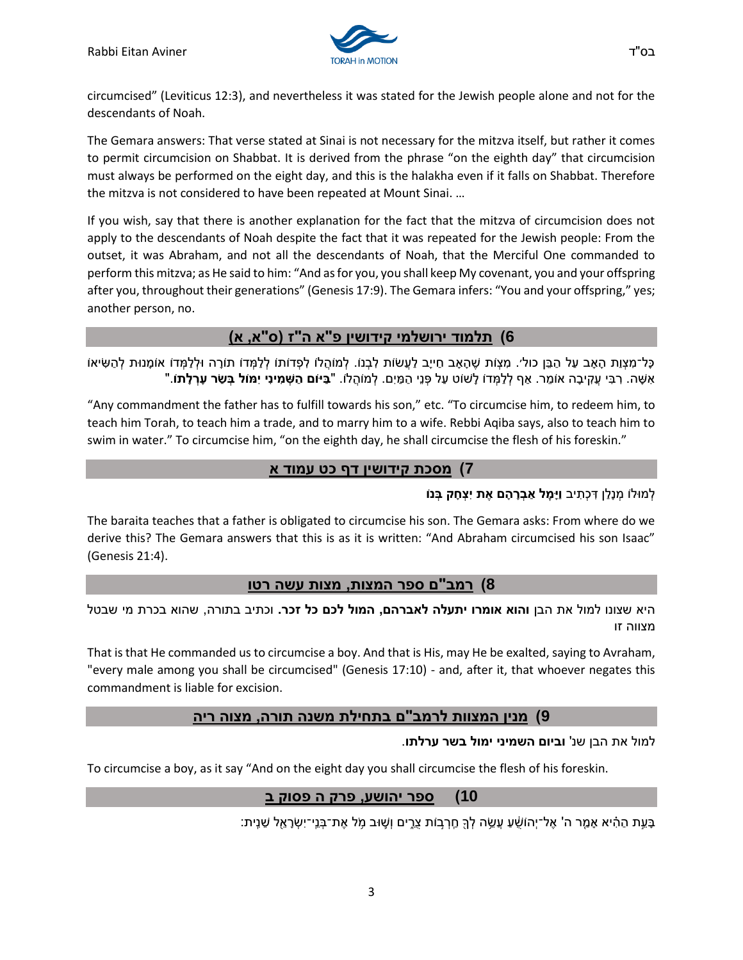

The Gemara answers: That verse stated at Sinai is not necessary for the mitzva itself, but rather it comes to permit circumcision on Shabbat. It is derived from the phrase "on the eighth day" that circumcision must always be performed on the eight day, and this is the halakha even if it falls on Shabbat. Therefore the mitzva is not considered to have been repeated at Mount Sinai. …

If you wish, say that there is another explanation for the fact that the mitzva of circumcision does not apply to the descendants of Noah despite the fact that it was repeated for the Jewish people: From the outset, it was Abraham, and not all the descendants of Noah, that the Merciful One commanded to perform this mitzva; as He said to him: "And as for you, you shall keep My covenant, you and your offspring after you, throughout their generations" (Genesis 17:9). The Gemara infers: "You and your offspring," yes; another person, no.

# **6( תלמוד ירושלמי קידושין פ"א ה"ז )ס"א, א(**

ְכָּל־מִצְוַת הָאָב עַל הַבֵּן כול׳. מִצְוֹת שֶׁהָאָב חַייָב לַעֲשׂוּת לְבְנוֹ. לְמוֹהֲלוֹ לְכָּדוֹתוֹ לְלַמְדוֹ תוֹרָה וּלְלַמְדוֹ אוֹמָנוּת לְהַשִּׂיאוֹ "אִשָּׁה. רִבִּי עֲקִיבָה אוֹמֵר. אַף לְלַמְּדוֹ לָשׁוֹט עַל פְּנֵי הַמַּיִם. לְמוֹהֲלוֹ. "**בַּיּוֹם הַשְּׁמִינִי יִמוֹל בְּשַׂר עָרְלָתו**ֹ.

"Any commandment the father has to fulfill towards his son," etc. "To circumcise him, to redeem him, to teach him Torah, to teach him a trade, and to marry him to a wife. Rebbi Aqiba says, also to teach him to swim in water." To circumcise him, "on the eighth day, he shall circumcise the flesh of his foreskin."

### **7( מסכת קידושי ן דף כט עמוד א**

#### לְ מּולֹו מְ נָלַ ן דִ כְתִ יב **וַיָמׇּ ל אַ בְּ רָ הָ ם א ת יִצְּ חָ ק בְּ נֹו**

The baraita teaches that a father is obligated to circumcise his son. The Gemara asks: From where do we derive this? The Gemara answers that this is as it is written: "And Abraham circumcised his son Isaac" (Genesis 21:4).

#### **8( רמב"ם ספר המצות, מצות עשה רטו**

היא שצונו למול את הבן **והוא אומרו יתעלה לאברהם, המול לכם כל זכר.** וכתיב בתורה, שהוא בכרת מי שבטל מצווה זו

That is that He commanded us to circumcise a boy. And that is His, may He be exalted, saying to Avraham, "every male among you shall be circumcised" (Genesis 17:10) - and, after it, that whoever negates this commandment is liable for excision.

# **9( מנין המצוות לרמב"ם ב תחילת משנה תורה, מצו ה ריה**

#### למול את הבן שנ' **וביום השמיני ימול בשר ערלתו**.

To circumcise a boy, as it say "And on the eight day you shall circumcise the flesh of his foreskin.

# **10( ספר יהושע, פרק ה פסוק ב**

ָבָעֵת הַהִ֫יא אָמֵר ה' אֶל־יְהוֹשָׁעַ עֲשֵׂה לְךָּ חַרְבוֹת צֶרֵים וְשֶׁוּב מְל אֶת־בְּנֵי־יִשְׂרָאֵל שֵׁנֵית: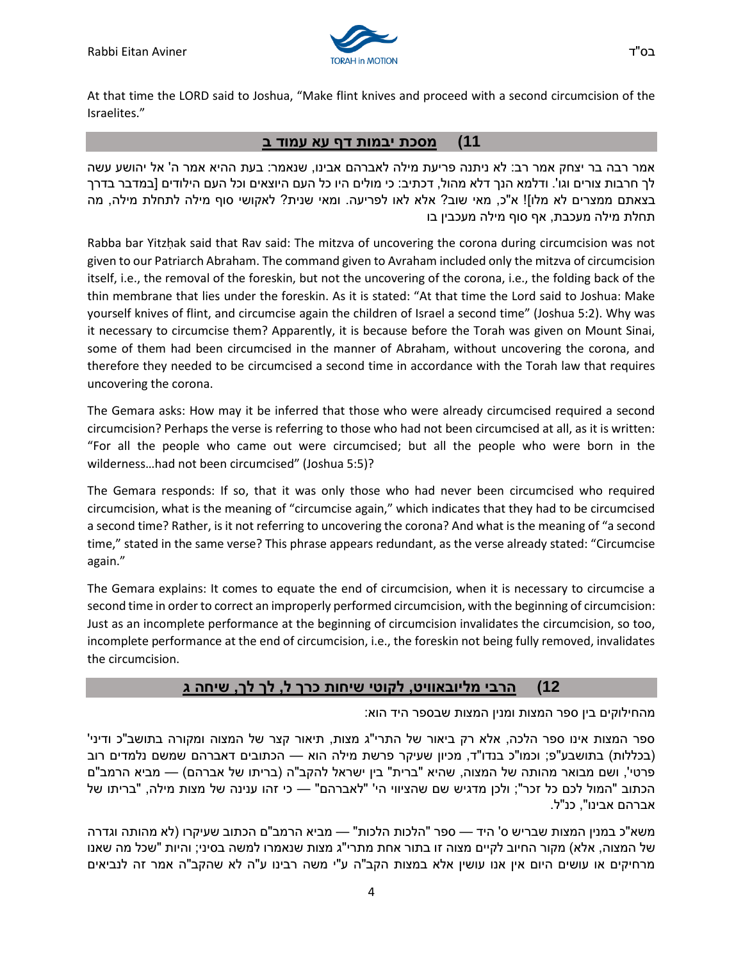

# **11( מסכת יבמות דף עא עמוד ב**

אמר רבה בר יצחק אמר רב: לא ניתנה פריעת מילה לאברהם אבינו, שנאמר: בעת ההיא אמר ה' אל יהושע עשה לך חרבות צורים וגו'. ודלמא הנך דלא מהול, דכתיב: כי מולים היו כל העם היוצאים וכל העם הילודים ]במדבר בדרך בצאתם ממצרים לא מלו]! א"כ, מאי שוב? אלא לאו לפריעה. ומאי שנית? לאקושי סוף מילה לתחלת מילה, מה תחלת מילה מעכבת, אף סוף מילה מעכבין בו

Rabba bar Yitzḥak said that Rav said: The mitzva of uncovering the corona during circumcision was not given to our Patriarch Abraham. The command given to Avraham included only the mitzva of circumcision itself, i.e., the removal of the foreskin, but not the uncovering of the corona, i.e., the folding back of the thin membrane that lies under the foreskin. As it is stated: "At that time the Lord said to Joshua: Make yourself knives of flint, and circumcise again the children of Israel a second time" (Joshua 5:2). Why was it necessary to circumcise them? Apparently, it is because before the Torah was given on Mount Sinai, some of them had been circumcised in the manner of Abraham, without uncovering the corona, and therefore they needed to be circumcised a second time in accordance with the Torah law that requires uncovering the corona.

The Gemara asks: How may it be inferred that those who were already circumcised required a second circumcision? Perhaps the verse is referring to those who had not been circumcised at all, as it is written: "For all the people who came out were circumcised; but all the people who were born in the wilderness…had not been circumcised" (Joshua 5:5)?

The Gemara responds: If so, that it was only those who had never been circumcised who required circumcision, what is the meaning of "circumcise again," which indicates that they had to be circumcised a second time? Rather, is it not referring to uncovering the corona? And what is the meaning of "a second time," stated in the same verse? This phrase appears redundant, as the verse already stated: "Circumcise again."

The Gemara explains: It comes to equate the end of circumcision, when it is necessary to circumcise a second time in order to correct an improperly performed circumcision, with the beginning of circumcision: Just as an incomplete performance at the beginning of circumcision invalidates the circumcision, so too, incomplete performance at the end of circumcision, i.e., the foreskin not being fully removed, invalidates the circumcision.

#### **12( הרבי מליובאוויט, לקוטי שיחו ת כרך ל, לך לך, שיחה ג**

מהחילוקים בין ספר המצות ומנין המצות שבספר היד הוא:

ספר המצות אינו ספר הלכה, אלא רק ביאור של התרי"ג מצות, תיאור קצר של המצוה ומקורה בתושב"כ ודיני' (בכללות) בתושבע"פ; וכמו"כ בנדו"ד, מכיון שעיקר פרשת מילה הוא — הכתובים דאברהם שמשם נלמדים רוב פרטי', ושם מבואר מהותה של המצוה, שהיא "ברית" בין ישראל להקב"ה (בריתו של אברהם) — מביא הרמב"ם הכתוב "המול לכם כל זכר"; ולכן מדגיש שם שהציווי הי' "לאברהם" — כי זהו ענינה של מצות מילה, "בריתו של אברהם אבינו", כנ"ל.

משא"כ במנין המצות שבריש ס' היד — ספר "הלכות הלכות" — מביא הרמב"ם הכתוב שעיקרו )לא מהותה וגדרה של המצוה, אלא) מקור החיוב לקיים מצוה זו בתור אחת מתרי"ג מצות שנאמרו למשה בסיני; והיות "שכל מה שאנו מרחיקים או עושים היום אין אנו עושין אלא במצות הקב"ה ע"י משה רבינו ע"ה לא שהקב"ה אמר זה לנביאים